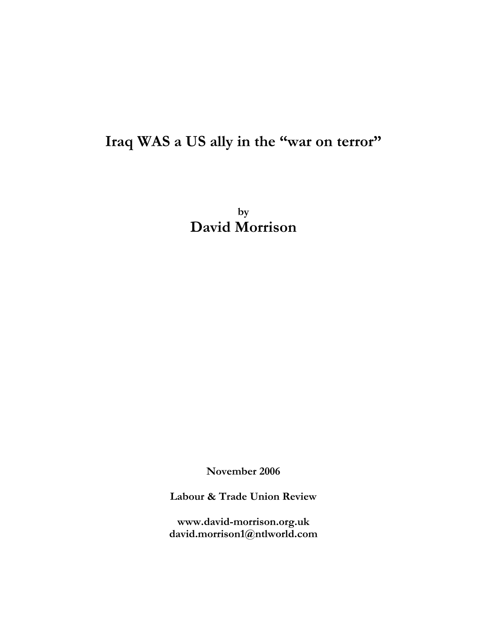# **Iraq WAS a US ally in the "war on terror"**

**by David Morrison**

**November 2006**

**Labour & Trade Union Review**

**www.david-morrison.org.uk david.morrison1@ntlworld.com**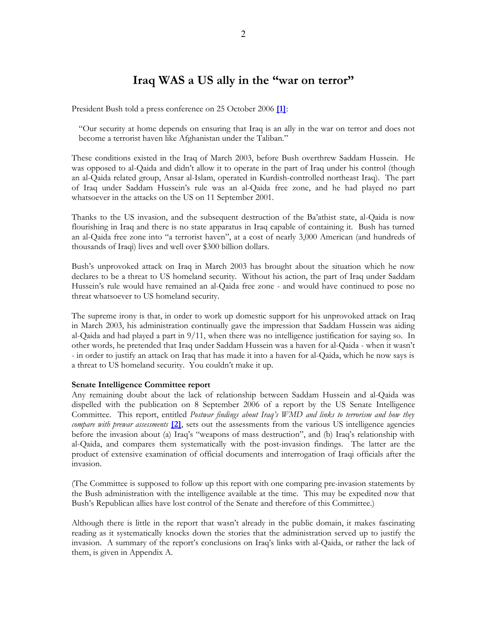# **Iraq WAS a US ally in the "war on terror"**

President Bush told a press conference on 25 October 2006 **[\[1\]](http://www.whitehouse.gov/news/releases/2006/10/20061025.html)**:

"Our security at home depends on ensuring that Iraq is an ally in the war on terror and does not become a terrorist haven like Afghanistan under the Taliban."

These conditions existed in the Iraq of March 2003, before Bush overthrew Saddam Hussein. He was opposed to al-Qaida and didn't allow it to operate in the part of Iraq under his control (though an al-Qaida related group, Ansar al-Islam, operated in Kurdish-controlled northeast Iraq). The part of Iraq under Saddam Hussein's rule was an al-Qaida free zone, and he had played no part whatsoever in the attacks on the US on 11 September 2001.

Thanks to the US invasion, and the subsequent destruction of the Ba'athist state, al-Qaida is now flourishing in Iraq and there is no state apparatus in Iraq capable of containing it. Bush has turned an al-Qaida free zone into "a terrorist haven", at a cost of nearly 3,000 American (and hundreds of thousands of Iraqi) lives and well over \$300 billion dollars.

Bush's unprovoked attack on Iraq in March 2003 has brought about the situation which he now declares to be a threat to US homeland security. Without his action, the part of Iraq under Saddam Hussein's rule would have remained an al-Qaida free zone - and would have continued to pose no threat whatsoever to US homeland security.

The supreme irony is that, in order to work up domestic support for his unprovoked attack on Iraq in March 2003, his administration continually gave the impression that Saddam Hussein was aiding al-Qaida and had played a part in 9/11, when there was no intelligence justification for saying so. In other words, he pretended that Iraq under Saddam Hussein was a haven for al-Qaida - when it wasn't - in order to justify an attack on Iraq that has made it into a haven for al-Qaida, which he now says is a threat to US homeland security. You couldn't make it up.

## **Senate Intelligence Committee report**

Any remaining doubt about the lack of relationship between Saddam Hussein and al-Qaida was dispelled with the publication on 8 September 2006 of a report by the US Senate Intelligence Committee. This report, entitled *Postwar findings about Iraq's WMD and links to terrorism and how they compare with prewar assessments* **[\[2\]](http://intelligence.senate.gov/phaseiiaccuracy.pdf)**, sets out the assessments from the various US intelligence agencies before the invasion about (a) Iraq's "weapons of mass destruction", and (b) Iraq's relationship with al-Qaida, and compares them systematically with the post-invasion findings. The latter are the product of extensive examination of official documents and interrogation of Iraqi officials after the invasion.

(The Committee is supposed to follow up this report with one comparing pre-invasion statements by the Bush administration with the intelligence available at the time. This may be expedited now that Bush's Republican allies have lost control of the Senate and therefore of this Committee.)

Although there is little in the report that wasn't already in the public domain, it makes fascinating reading as it systematically knocks down the stories that the administration served up to justify the invasion. A summary of the report's conclusions on Iraq's links with al-Qaida, or rather the lack of them, is given in Appendix A.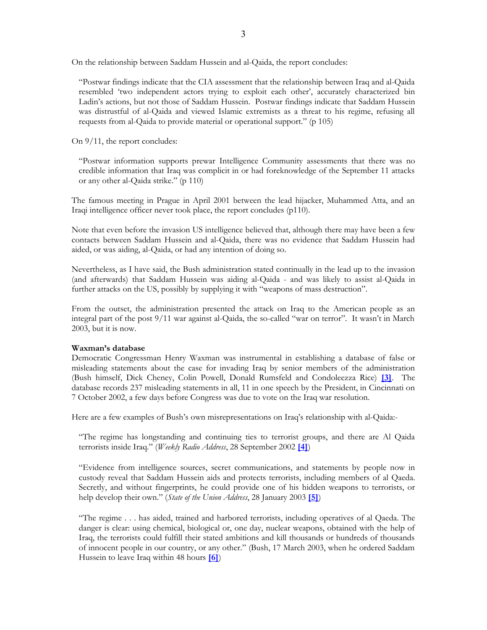On the relationship between Saddam Hussein and al-Qaida, the report concludes:

"Postwar findings indicate that the CIA assessment that the relationship between Iraq and al-Qaida resembled 'two independent actors trying to exploit each other', accurately characterized bin Ladin's actions, but not those of Saddam Hussein. Postwar findings indicate that Saddam Hussein was distrustful of al-Qaida and viewed Islamic extremists as a threat to his regime, refusing all requests from al-Qaida to provide material or operational support." (p 105)

On 9/11, the report concludes:

"Postwar information supports prewar Intelligence Community assessments that there was no credible information that Iraq was complicit in or had foreknowledge of the September 11 attacks or any other al-Qaida strike." (p 110)

The famous meeting in Prague in April 2001 between the lead hijacker, Muhammed Atta, and an Iraqi intelligence officer never took place, the report concludes (p110).

Note that even before the invasion US intelligence believed that, although there may have been a few contacts between Saddam Hussein and al-Qaida, there was no evidence that Saddam Hussein had aided, or was aiding, al-Qaida, or had any intention of doing so.

Nevertheless, as I have said, the Bush administration stated continually in the lead up to the invasion (and afterwards) that Saddam Hussein was aiding al-Qaida - and was likely to assist al-Qaida in further attacks on the US, possibly by supplying it with "weapons of mass destruction".

From the outset, the administration presented the attack on Iraq to the American people as an integral part of the post 9/11 war against al-Qaida, the so-called "war on terror". It wasn't in March 2003, but it is now.

# **Waxman's database**

Democratic Congressman Henry Waxman was instrumental in establishing a database of false or misleading statements about the case for invading Iraq by senior members of the administration (Bush himself, Dick Cheney, Colin Powell, Donald Rumsfeld and Condoleezza Rice) **[\[3\]](http://democrats.reform.house.gov/IraqOnTheRecord/)**. The database records 237 misleading statements in all, 11 in one speech by the President, in Cincinnati on 7 October 2002, a few days before Congress was due to vote on the Iraq war resolution.

Here are a few examples of Bush's own misrepresentations on Iraq's relationship with al-Qaida:-

"The regime has longstanding and continuing ties to terrorist groups, and there are Al Qaida terrorists inside Iraq." (*Weekly Radio Address*, 28 September 2002 **[\[4\]](http://www.whitehouse.gov/news/releases/2002/09/20020928.html)**)

"Evidence from intelligence sources, secret communications, and statements by people now in custody reveal that Saddam Hussein aids and protects terrorists, including members of al Qaeda. Secretly, and without fingerprints, he could provide one of his hidden weapons to terrorists, or help develop their own." (*State of the Union Address*, 28 January 2003 **[\[5\]](http://www.whitehouse.gov/news/releases/2003/01/20030128-19.html)**)

"The regime . . . has aided, trained and harbored terrorists, including operatives of al Qaeda. The danger is clear: using chemical, biological or, one day, nuclear weapons, obtained with the help of Iraq, the terrorists could fulfill their stated ambitions and kill thousands or hundreds of thousands of innocent people in our country, or any other." (Bush, 17 March 2003, when he ordered Saddam Hussein to leave Iraq within 48 hours **[\[6\]](http://www.whitehouse.gov/news/releases/2003/03/20030317-7.html)**)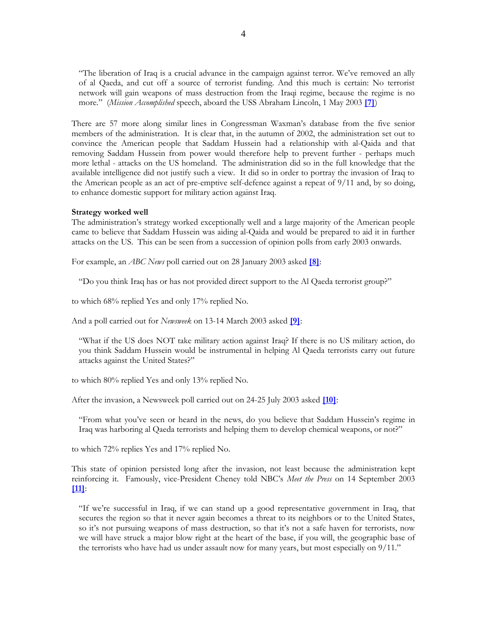"The liberation of Iraq is a crucial advance in the campaign against terror. We've removed an ally of al Qaeda, and cut off a source of terrorist funding. And this much is certain: No terrorist network will gain weapons of mass destruction from the Iraqi regime, because the regime is no more." (*Mission Accomplished* speech, aboard the USS Abraham Lincoln, 1 May 2003 **[\[7\]](http://www.whitehouse.gov/news/releases/2003/05/20030501-15.html)**)

There are 57 more along similar lines in Congressman Waxman's database from the five senior members of the administration. It is clear that, in the autumn of 2002, the administration set out to convince the American people that Saddam Hussein had a relationship with al-Qaida and that removing Saddam Hussein from power would therefore help to prevent further - perhaps much more lethal - attacks on the US homeland. The administration did so in the full knowledge that the available intelligence did not justify such a view. It did so in order to portray the invasion of Iraq to the American people as an act of pre-emptive self-defence against a repeat of 9/11 and, by so doing, to enhance domestic support for military action against Iraq.

#### **Strategy worked well**

The administration's strategy worked exceptionally well and a large majority of the American people came to believe that Saddam Hussein was aiding al-Qaida and would be prepared to aid it in further attacks on the US. This can be seen from a succession of opinion polls from early 2003 onwards.

For example, an *ABC News* poll carried out on 28 January 2003 asked **[\[8\]](http://www.pollingreport.com/iraq10.htm)**:

"Do you think Iraq has or has not provided direct support to the Al Qaeda terrorist group?"

to which 68% replied Yes and only 17% replied No.

And a poll carried out for *Newsweek* on 13-14 March 2003 asked **[\[9\]](http://www.pollingreport.com/iraq9.htm)**:

"What if the US does NOT take military action against Iraq? If there is no US military action, do you think Saddam Hussein would be instrumental in helping Al Qaeda terrorists carry out future attacks against the United States?"

to which 80% replied Yes and only 13% replied No.

After the invasion, a Newsweek poll carried out on 24-25 July 2003 asked **[\[10\]](http://www.pollingreport.com/iraq8.htm)**:

"From what you've seen or heard in the news, do you believe that Saddam Hussein's regime in Iraq was harboring al Qaeda terrorists and helping them to develop chemical weapons, or not?"

to which 72% replies Yes and 17% replied No.

This state of opinion persisted long after the invasion, not least because the administration kept reinforcing it. Famously, vice-President Cheney told NBC's *Meet the Press* on 14 September 2003 **[\[11\]](http://www.msnbc.com/news/966470.asp)**:

"If we're successful in Iraq, if we can stand up a good representative government in Iraq, that secures the region so that it never again becomes a threat to its neighbors or to the United States, so it's not pursuing weapons of mass destruction, so that it's not a safe haven for terrorists, now we will have struck a major blow right at the heart of the base, if you will, the geographic base of the terrorists who have had us under assault now for many years, but most especially on 9/11."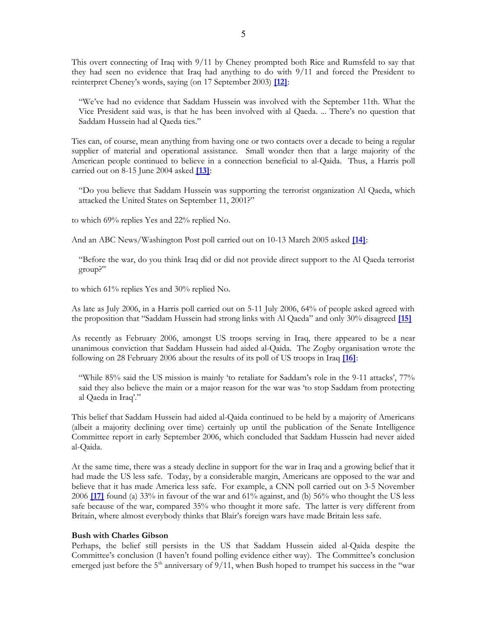This overt connecting of Iraq with 9/11 by Cheney prompted both Rice and Rumsfeld to say that they had seen no evidence that Iraq had anything to do with 9/11 and forced the President to reinterpret Cheney's words, saying (on 17 September 2003) **[\[12\]](http://www.whitehouse.gov/news/releases/2003/09/20030917-7.html)**:

"We've had no evidence that Saddam Hussein was involved with the September 11th. What the Vice President said was, is that he has been involved with al Qaeda. ... There's no question that Saddam Hussein had al Qaeda ties."

Ties can, of course, mean anything from having one or two contacts over a decade to being a regular supplier of material and operational assistance. Small wonder then that a large majority of the American people continued to believe in a connection beneficial to al-Qaida. Thus, a Harris poll carried out on 8-15 June 2004 asked **[\[13\]](http://www.pollingreport.com/iraq6.htm)**:

"Do you believe that Saddam Hussein was supporting the terrorist organization Al Qaeda, which attacked the United States on September 11, 2001?"

to which 69% replies Yes and 22% replied No.

And an ABC News/Washington Post poll carried out on 10-13 March 2005 asked **[\[14\]](http://www.pollingreport.com/iraq5.htm)**:

"Before the war, do you think Iraq did or did not provide direct support to the Al Qaeda terrorist group?"

to which 61% replies Yes and 30% replied No.

As late as July 2006, in a Harris poll carried out on 5-11 July 2006, 64% of people asked agreed with the proposition that "Saddam Hussein had strong links with Al Qaeda" and only 30% disagreed **[\[15\]](http://www.pollingreport.com/iraq2.htm)**

As recently as February 2006, amongst US troops serving in Iraq, there appeared to be a near unanimous conviction that Saddam Hussein had aided al-Qaida. The Zogby organisation wrote the following on 28 February 2006 about the results of its poll of US troops in Iraq **[\[16\]](http://www.zogby.com/NEWS/ReadNews.dbm?ID=1075)**:

"While 85% said the US mission is mainly 'to retaliate for Saddam's role in the 9-11 attacks', 77% said they also believe the main or a major reason for the war was 'to stop Saddam from protecting al Qaeda in Iraq'."

This belief that Saddam Hussein had aided al-Qaida continued to be held by a majority of Americans (albeit a majority declining over time) certainly up until the publication of the Senate Intelligence Committee report in early September 2006, which concluded that Saddam Hussein had never aided al-Qaida.

At the same time, there was a steady decline in support for the war in Iraq and a growing belief that it had made the US less safe. Today, by a considerable margin, Americans are opposed to the war and believe that it has made America less safe. For example, a CNN poll carried out on 3-5 November 2006 **[\[17\]](http://www.pollingreport.com/iraq.htm)** found (a) 33% in favour of the war and 61% against, and (b) 56% who thought the US less safe because of the war, compared 35% who thought it more safe. The latter is very different from Britain, where almost everybody thinks that Blair's foreign wars have made Britain less safe.

#### **Bush with Charles Gibson**

Perhaps, the belief still persists in the US that Saddam Hussein aided al-Qaida despite the Committee's conclusion (I haven't found polling evidence either way). The Committee's conclusion emerged just before the  $5<sup>th</sup>$  anniversary of  $9/11$ , when Bush hoped to trumpet his success in the "war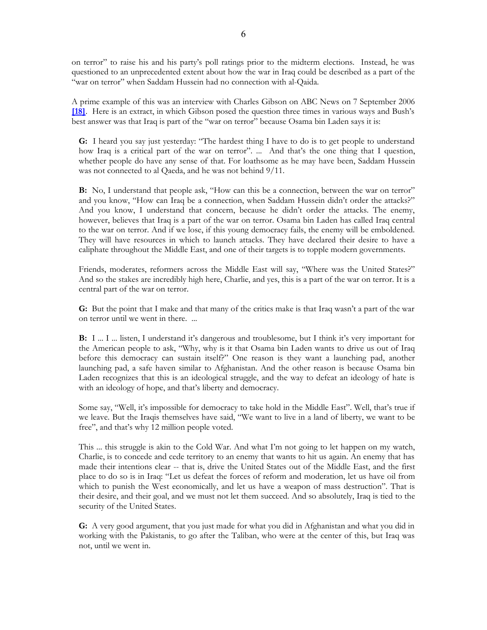on terror" to raise his and his party's poll ratings prior to the midterm elections. Instead, he was questioned to an unprecedented extent about how the war in Iraq could be described as a part of the "war on terror" when Saddam Hussein had no connection with al-Qaida.

A prime example of this was an interview with Charles Gibson on ABC News on 7 September 2006 **[\[18\]](http://abcnews.go.com/WNT/story?id=2406066&page=1)**. Here is an extract, in which Gibson posed the question three times in various ways and Bush's best answer was that Iraq is part of the "war on terror" because Osama bin Laden says it is:

**G:** I heard you say just yesterday: "The hardest thing I have to do is to get people to understand how Iraq is a critical part of the war on terror". ... And that's the one thing that I question, whether people do have any sense of that. For loathsome as he may have been, Saddam Hussein was not connected to al Qaeda, and he was not behind 9/11.

**B:** No, I understand that people ask, "How can this be a connection, between the war on terror" and you know, "How can Iraq be a connection, when Saddam Hussein didn't order the attacks?" And you know, I understand that concern, because he didn't order the attacks. The enemy, however, believes that Iraq is a part of the war on terror. Osama bin Laden has called Iraq central to the war on terror. And if we lose, if this young democracy fails, the enemy will be emboldened. They will have resources in which to launch attacks. They have declared their desire to have a caliphate throughout the Middle East, and one of their targets is to topple modern governments.

Friends, moderates, reformers across the Middle East will say, "Where was the United States?" And so the stakes are incredibly high here, Charlie, and yes, this is a part of the war on terror. It is a central part of the war on terror.

**G:** But the point that I make and that many of the critics make is that Iraq wasn't a part of the war on terror until we went in there. ...

**B:** I ... I ... listen, I understand it's dangerous and troublesome, but I think it's very important for the American people to ask, "Why, why is it that Osama bin Laden wants to drive us out of Iraq before this democracy can sustain itself?" One reason is they want a launching pad, another launching pad, a safe haven similar to Afghanistan. And the other reason is because Osama bin Laden recognizes that this is an ideological struggle, and the way to defeat an ideology of hate is with an ideology of hope, and that's liberty and democracy.

Some say, "Well, it's impossible for democracy to take hold in the Middle East". Well, that's true if we leave. But the Iraqis themselves have said, "We want to live in a land of liberty, we want to be free", and that's why 12 million people voted.

This ... this struggle is akin to the Cold War. And what I'm not going to let happen on my watch, Charlie, is to concede and cede territory to an enemy that wants to hit us again. An enemy that has made their intentions clear -- that is, drive the United States out of the Middle East, and the first place to do so is in Iraq: "Let us defeat the forces of reform and moderation, let us have oil from which to punish the West economically, and let us have a weapon of mass destruction". That is their desire, and their goal, and we must not let them succeed. And so absolutely, Iraq is tied to the security of the United States.

**G:** A very good argument, that you just made for what you did in Afghanistan and what you did in working with the Pakistanis, to go after the Taliban, who were at the center of this, but Iraq was not, until we went in.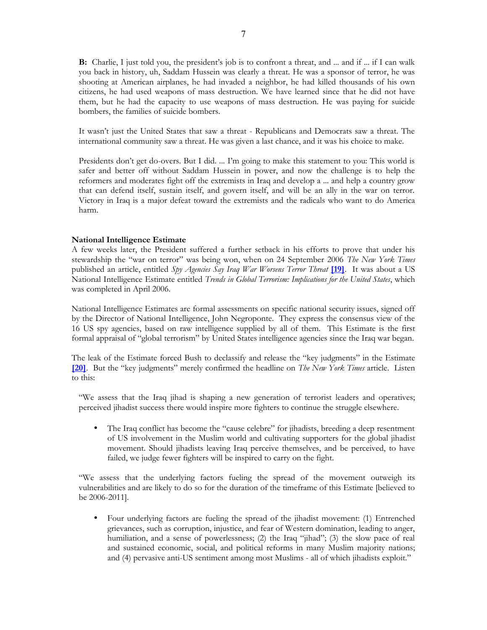**B:** Charlie, I just told you, the president's job is to confront a threat, and ... and if ... if I can walk you back in history, uh, Saddam Hussein was clearly a threat. He was a sponsor of terror, he was shooting at American airplanes, he had invaded a neighbor, he had killed thousands of his own citizens, he had used weapons of mass destruction. We have learned since that he did not have them, but he had the capacity to use weapons of mass destruction. He was paying for suicide bombers, the families of suicide bombers.

It wasn't just the United States that saw a threat - Republicans and Democrats saw a threat. The international community saw a threat. He was given a last chance, and it was his choice to make.

Presidents don't get do-overs. But I did. ... I'm going to make this statement to you: This world is safer and better off without Saddam Hussein in power, and now the challenge is to help the reformers and moderates fight off the extremists in Iraq and develop a ... and help a country grow that can defend itself, sustain itself, and govern itself, and will be an ally in the war on terror. Victory in Iraq is a major defeat toward the extremists and the radicals who want to do America harm.

### **National Intelligence Estimate**

A few weeks later, the President suffered a further setback in his efforts to prove that under his stewardship the "war on terror" was being won, when on 24 September 2006 *The New York Times* published an article, entitled *Spy Agencies Say Iraq War Worsens Terror Threat* **[\[19\]](http://www.david-morrison.org.uk/other-documents/nie-terrorism-nyt-20060924.htm)**. It was about a US National Intelligence Estimate entitled *Trends in Global Terrorism: Implications for the United States*, which was completed in April 2006.

National Intelligence Estimates are formal assessments on specific national security issues, signed off by the Director of National Intelligence, John Negroponte. They express the consensus view of the 16 US spy agencies, based on raw intelligence supplied by all of them. This Estimate is the first formal appraisal of "global terrorism" by United States intelligence agencies since the Iraq war began.

The leak of the Estimate forced Bush to declassify and release the "key judgments" in the Estimate **[\[20\]](http://www.dni.gov/press_releases/Declassified_NIE_Key_Judgments.pdf)**. But the "key judgments" merely confirmed the headline on *The New York Times* article. Listen to this:

"We assess that the Iraq jihad is shaping a new generation of terrorist leaders and operatives; perceived jihadist success there would inspire more fighters to continue the struggle elsewhere.

• The Iraq conflict has become the "cause celebre" for jihadists, breeding a deep resentment of US involvement in the Muslim world and cultivating supporters for the global jihadist movement. Should jihadists leaving Iraq perceive themselves, and be perceived, to have failed, we judge fewer fighters will be inspired to carry on the fight.

"We assess that the underlying factors fueling the spread of the movement outweigh its vulnerabilities and are likely to do so for the duration of the timeframe of this Estimate [believed to be 2006-2011].

• Four underlying factors are fueling the spread of the jihadist movement: (1) Entrenched grievances, such as corruption, injustice, and fear of Western domination, leading to anger, humiliation, and a sense of powerlessness; (2) the Iraq "jihad"; (3) the slow pace of real and sustained economic, social, and political reforms in many Muslim majority nations; and (4) pervasive anti-US sentiment among most Muslims - all of which jihadists exploit."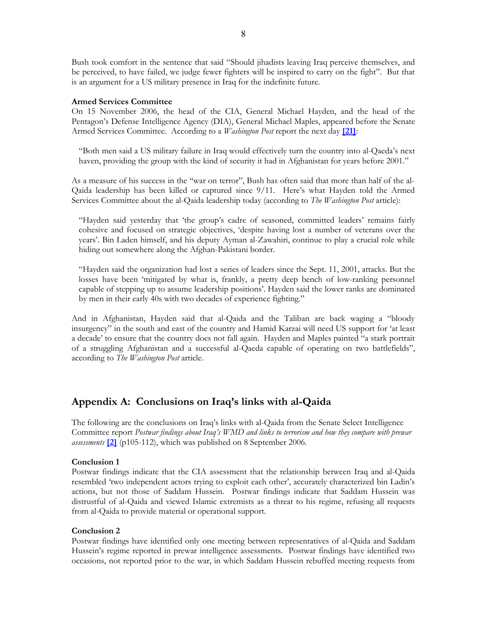Bush took comfort in the sentence that said "Should jihadists leaving Iraq perceive themselves, and be perceived, to have failed, we judge fewer fighters will be inspired to carry on the fight". But that is an argument for a US military presence in Iraq for the indefinite future.

#### **Armed Services Committee**

On 15 November 2006, the head of the CIA, General Michael Hayden, and the head of the Pentagon's Defense Intelligence Agency (DIA), General Michael Maples, appeared before the Senate Armed Services Committee. According to a *Washington Post* report the next day **[\[21\]](http://www.washingtonpost.com/wp-dyn/content/article/2006/11/15/AR2006111501622.html)**:

"Both men said a US military failure in Iraq would effectively turn the country into al-Qaeda's next haven, providing the group with the kind of security it had in Afghanistan for years before 2001."

As a measure of his success in the "war on terror", Bush has often said that more than half of the al-Qaida leadership has been killed or captured since 9/11. Here's what Hayden told the Armed Services Committee about the al-Qaida leadership today (according to *The Washington Post* article):

"Hayden said yesterday that 'the group's cadre of seasoned, committed leaders' remains fairly cohesive and focused on strategic objectives, 'despite having lost a number of veterans over the years'. Bin Laden himself, and his deputy Ayman al-Zawahiri, continue to play a crucial role while hiding out somewhere along the Afghan-Pakistani border.

"Hayden said the organization had lost a series of leaders since the Sept. 11, 2001, attacks. But the losses have been 'mitigated by what is, frankly, a pretty deep bench of low-ranking personnel capable of stepping up to assume leadership positions'. Hayden said the lower ranks are dominated by men in their early 40s with two decades of experience fighting."

And in Afghanistan, Hayden said that al-Qaida and the Taliban are back waging a "bloody insurgency" in the south and east of the country and Hamid Karzai will need US support for 'at least a decade' to ensure that the country does not fall again. Hayden and Maples painted "a stark portrait of a struggling Afghanistan and a successful al-Qaeda capable of operating on two battlefields", according to *The Washington Post* article.

# **Appendix A: Conclusions on Iraq's links with al-Qaida**

The following are the conclusions on Iraq's links with al-Qaida from the Senate Select Intelligence Committee report *Postwar findings about Iraq's WMD and links to terrorism and how they compare with prewar assessments* **[\[2\]](http://intelligence.senate.gov/phaseiiaccuracy.pdf)** (p105-112), which was published on 8 September 2006.

#### **Conclusion 1**

Postwar findings indicate that the CIA assessment that the relationship between Iraq and al-Qaida resembled 'two independent actors trying to exploit each other', accurately characterized bin Ladin's actions, but not those of Saddam Hussein. Postwar findings indicate that Saddam Hussein was distrustful of al-Qaida and viewed Islamic extremists as a threat to his regime, refusing all requests from al-Qaida to provide material or operational support.

#### **Conclusion 2**

Postwar findings have identified only one meeting between representatives of al-Qaida and Saddam Hussein's regime reported in prewar intelligence assessments. Postwar findings have identified two occasions, not reported prior to the war, in which Saddam Hussein rebuffed meeting requests from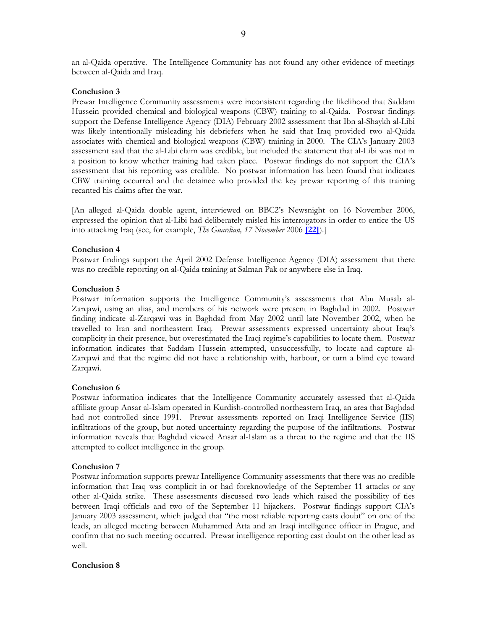an al-Qaida operative. The Intelligence Community has not found any other evidence of meetings between al-Qaida and Iraq.

# **Conclusion 3**

Prewar Intelligence Community assessments were inconsistent regarding the likelihood that Saddam Hussein provided chemical and biological weapons (CBW) training to al-Qaida. Postwar findings support the Defense Intelligence Agency (DIA) February 2002 assessment that Ibn al-Shaykh al-Libi was likely intentionally misleading his debriefers when he said that Iraq provided two al-Qaida associates with chemical and biological weapons (CBW) training in 2000. The CIA's January 2003 assessment said that the al-Libi claim was credible, but included the statement that al-Libi was not in a position to know whether training had taken place. Postwar findings do not support the CIA's assessment that his reporting was credible. No postwar information has been found that indicates CBW training occurred and the detainee who provided the key prewar reporting of this training recanted his claims after the war.

[An alleged al-Qaida double agent, interviewed on BBC2's Newsnight on 16 November 2006, expressed the opinion that al-Libi had deliberately misled his interrogators in order to entice the US into attacking Iraq (see, for example, *The Guardian, 17 November* 2006 **[\[22\]](http://www.guardian.co.uk/alqaida/story/0,,1950055,00.html)**).]

# **Conclusion 4**

Postwar findings support the April 2002 Defense Intelligence Agency (DIA) assessment that there was no credible reporting on al-Qaida training at Salman Pak or anywhere else in Iraq.

# **Conclusion 5**

Postwar information supports the Intelligence Community's assessments that Abu Musab al-Zarqawi, using an alias, and members of his network were present in Baghdad in 2002. Postwar finding indicate al-Zarqawi was in Baghdad from May 2002 until late November 2002, when he travelled to Iran and northeastern Iraq. Prewar assessments expressed uncertainty about Iraq's complicity in their presence, but overestimated the Iraqi regime's capabilities to locate them. Postwar information indicates that Saddam Hussein attempted, unsuccessfully, to locate and capture al-Zarqawi and that the regime did not have a relationship with, harbour, or turn a blind eye toward Zarqawi.

# **Conclusion 6**

Postwar information indicates that the Intelligence Community accurately assessed that al-Qaida affiliate group Ansar al-Islam operated in Kurdish-controlled northeastern Iraq, an area that Baghdad had not controlled since 1991. Prewar assessments reported on Iraqi Intelligence Service (IIS) infiltrations of the group, but noted uncertainty regarding the purpose of the infiltrations. Postwar information reveals that Baghdad viewed Ansar al-Islam as a threat to the regime and that the IIS attempted to collect intelligence in the group.

# **Conclusion 7**

Postwar information supports prewar Intelligence Community assessments that there was no credible information that Iraq was complicit in or had foreknowledge of the September 11 attacks or any other al-Qaida strike. These assessments discussed two leads which raised the possibility of ties between Iraqi officials and two of the September 11 hijackers. Postwar findings support CIA's January 2003 assessment, which judged that "the most reliable reporting casts doubt" on one of the leads, an alleged meeting between Muhammed Atta and an Iraqi intelligence officer in Prague, and confirm that no such meeting occurred. Prewar intelligence reporting cast doubt on the other lead as well.

# **Conclusion 8**